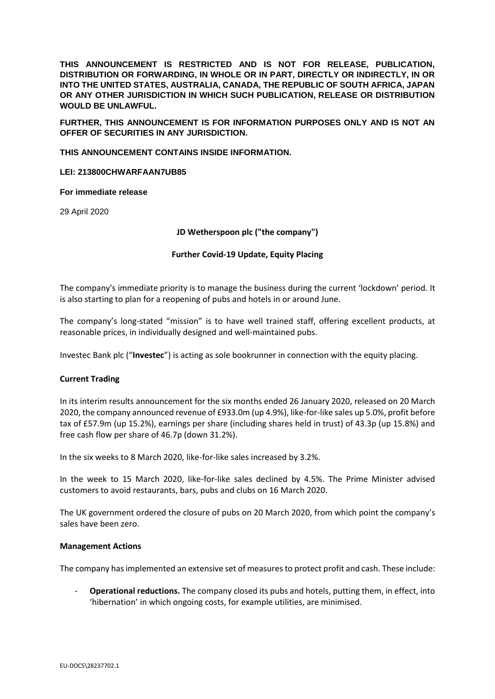**THIS ANNOUNCEMENT IS RESTRICTED AND IS NOT FOR RELEASE, PUBLICATION, DISTRIBUTION OR FORWARDING, IN WHOLE OR IN PART, DIRECTLY OR INDIRECTLY, IN OR INTO THE UNITED STATES, AUSTRALIA, CANADA, THE REPUBLIC OF SOUTH AFRICA, JAPAN OR ANY OTHER JURISDICTION IN WHICH SUCH PUBLICATION, RELEASE OR DISTRIBUTION WOULD BE UNLAWFUL.**

**FURTHER, THIS ANNOUNCEMENT IS FOR INFORMATION PURPOSES ONLY AND IS NOT AN OFFER OF SECURITIES IN ANY JURISDICTION.**

**THIS ANNOUNCEMENT CONTAINS INSIDE INFORMATION.**

**LEI: 213800CHWARFAAN7UB85**

**For immediate release**

29 April 2020

**JD Wetherspoon plc ("the company")**

#### **Further Covid‐19 Update, Equity Placing**

The company's immediate priority is to manage the business during the current 'lockdown' period. It is also starting to plan for a reopening of pubs and hotels in or around June.

The company's long-stated "mission" is to have well trained staff, offering excellent products, at reasonable prices, in individually designed and well-maintained pubs.

Investec Bank plc ("**Investec**") is acting as sole bookrunner in connection with the equity placing.

#### **Current Trading**

In its interim results announcement for the six months ended 26 January 2020, released on 20 March 2020, the company announced revenue of £933.0m (up 4.9%), like-for-like sales up 5.0%, profit before tax of £57.9m (up 15.2%), earnings per share (including shares held in trust) of 43.3p (up 15.8%) and free cash flow per share of 46.7p (down 31.2%).

In the six weeks to 8 March 2020, like-for-like sales increased by 3.2%.

In the week to 15 March 2020, like-for-like sales declined by 4.5%. The Prime Minister advised customers to avoid restaurants, bars, pubs and clubs on 16 March 2020.

The UK government ordered the closure of pubs on 20 March 2020, from which point the company's sales have been zero.

#### **Management Actions**

The company has implemented an extensive set of measures to protect profit and cash. These include:

- **Operational reductions.** The company closed its pubs and hotels, putting them, in effect, into 'hibernation' in which ongoing costs, for example utilities, are minimised.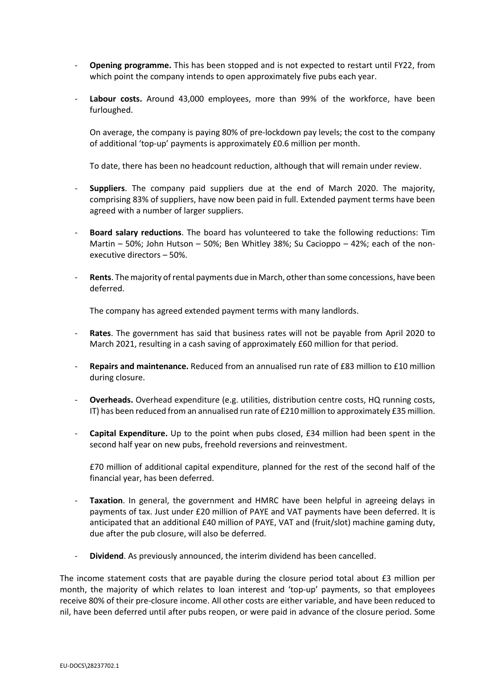- **Opening programme.** This has been stopped and is not expected to restart until FY22, from which point the company intends to open approximately five pubs each year.
- **Labour costs.** Around 43,000 employees, more than 99% of the workforce, have been furloughed.

On average, the company is paying 80% of pre-lockdown pay levels; the cost to the company of additional 'top-up' payments is approximately £0.6 million per month.

To date, there has been no headcount reduction, although that will remain under review.

- **Suppliers**. The company paid suppliers due at the end of March 2020. The majority, comprising 83% of suppliers, have now been paid in full. Extended payment terms have been agreed with a number of larger suppliers.
- **Board salary reductions**. The board has volunteered to take the following reductions: Tim Martin – 50%; John Hutson – 50%; Ben Whitley 38%; Su Cacioppo – 42%; each of the nonexecutive directors – 50%.
- **Rents**. The majority of rental payments due in March, other than some concessions, have been deferred.

The company has agreed extended payment terms with many landlords.

- **Rates**. The government has said that business rates will not be payable from April 2020 to March 2021, resulting in a cash saving of approximately £60 million for that period.
- **Repairs and maintenance.** Reduced from an annualised run rate of £83 million to £10 million during closure.
- **Overheads.** Overhead expenditure (e.g. utilities, distribution centre costs, HQ running costs, IT) has been reduced from an annualised run rate of £210 million to approximately £35 million.
- **Capital Expenditure.** Up to the point when pubs closed, £34 million had been spent in the second half year on new pubs, freehold reversions and reinvestment.

£70 million of additional capital expenditure, planned for the rest of the second half of the financial year, has been deferred.

- **Taxation**. In general, the government and HMRC have been helpful in agreeing delays in payments of tax. Just under £20 million of PAYE and VAT payments have been deferred. It is anticipated that an additional £40 million of PAYE, VAT and (fruit/slot) machine gaming duty, due after the pub closure, will also be deferred.
- **Dividend**. As previously announced, the interim dividend has been cancelled.

The income statement costs that are payable during the closure period total about £3 million per month, the majority of which relates to loan interest and 'top-up' payments, so that employees receive 80% of their pre-closure income. All other costs are either variable, and have been reduced to nil, have been deferred until after pubs reopen, or were paid in advance of the closure period. Some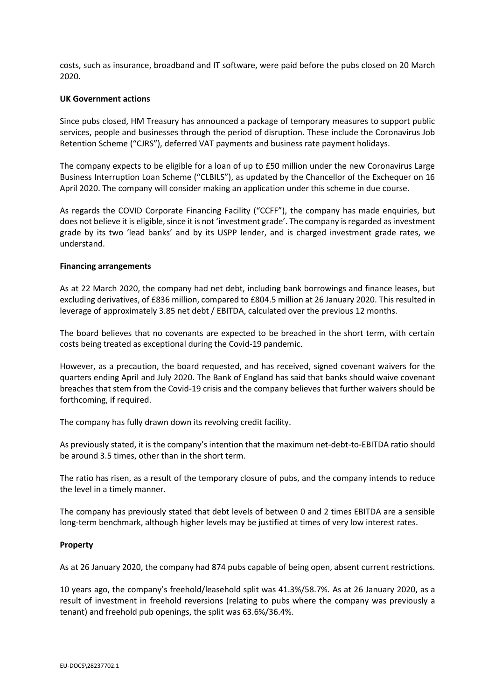costs, such as insurance, broadband and IT software, were paid before the pubs closed on 20 March 2020.

### **UK Government actions**

Since pubs closed, HM Treasury has announced a package of temporary measures to support public services, people and businesses through the period of disruption. These include the Coronavirus Job Retention Scheme ("CJRS"), deferred VAT payments and business rate payment holidays.

The company expects to be eligible for a loan of up to £50 million under the new Coronavirus Large Business Interruption Loan Scheme ("CLBILS"), as updated by the Chancellor of the Exchequer on 16 April 2020. The company will consider making an application under this scheme in due course.

As regards the COVID Corporate Financing Facility ("CCFF"), the company has made enquiries, but does not believe it is eligible, since it is not 'investment grade'. The company is regarded as investment grade by its two 'lead banks' and by its USPP lender, and is charged investment grade rates, we understand.

### **Financing arrangements**

As at 22 March 2020, the company had net debt, including bank borrowings and finance leases, but excluding derivatives, of £836 million, compared to £804.5 million at 26 January 2020. This resulted in leverage of approximately 3.85 net debt / EBITDA, calculated over the previous 12 months.

The board believes that no covenants are expected to be breached in the short term, with certain costs being treated as exceptional during the Covid-19 pandemic.

However, as a precaution, the board requested, and has received, signed covenant waivers for the quarters ending April and July 2020. The Bank of England has said that banks should waive covenant breaches that stem from the Covid-19 crisis and the company believes that further waivers should be forthcoming, if required.

The company has fully drawn down its revolving credit facility.

As previously stated, it is the company's intention that the maximum net-debt-to-EBITDA ratio should be around 3.5 times, other than in the short term.

The ratio has risen, as a result of the temporary closure of pubs, and the company intends to reduce the level in a timely manner.

The company has previously stated that debt levels of between 0 and 2 times EBITDA are a sensible long-term benchmark, although higher levels may be justified at times of very low interest rates.

## **Property**

As at 26 January 2020, the company had 874 pubs capable of being open, absent current restrictions.

10 years ago, the company's freehold/leasehold split was 41.3%/58.7%. As at 26 January 2020, as a result of investment in freehold reversions (relating to pubs where the company was previously a tenant) and freehold pub openings, the split was 63.6%/36.4%.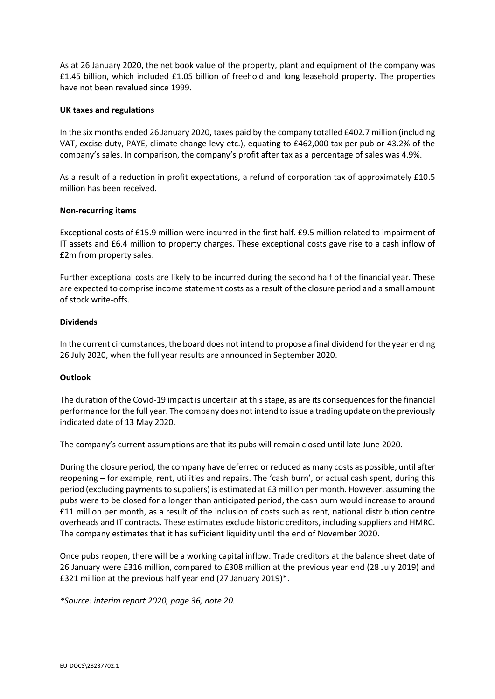As at 26 January 2020, the net book value of the property, plant and equipment of the company was £1.45 billion, which included £1.05 billion of freehold and long leasehold property. The properties have not been revalued since 1999.

### **UK taxes and regulations**

In the six months ended 26 January 2020, taxes paid by the company totalled £402.7 million (including VAT, excise duty, PAYE, climate change levy etc.), equating to £462,000 tax per pub or 43.2% of the company's sales. In comparison, the company's profit after tax as a percentage of sales was 4.9%.

As a result of a reduction in profit expectations, a refund of corporation tax of approximately £10.5 million has been received.

### **Non-recurring items**

Exceptional costs of £15.9 million were incurred in the first half. £9.5 million related to impairment of IT assets and £6.4 million to property charges. These exceptional costs gave rise to a cash inflow of £2m from property sales.

Further exceptional costs are likely to be incurred during the second half of the financial year. These are expected to comprise income statement costs as a result of the closure period and a small amount of stock write-offs.

## **Dividends**

In the current circumstances, the board does not intend to propose a final dividend for the year ending 26 July 2020, when the full year results are announced in September 2020.

## **Outlook**

The duration of the Covid-19 impact is uncertain at this stage, as are its consequences for the financial performance for the full year. The company does not intend to issue a trading update on the previously indicated date of 13 May 2020.

The company's current assumptions are that its pubs will remain closed until late June 2020.

During the closure period, the company have deferred or reduced as many costs as possible, until after reopening – for example, rent, utilities and repairs. The 'cash burn', or actual cash spent, during this period (excluding payments to suppliers) is estimated at £3 million per month. However, assuming the pubs were to be closed for a longer than anticipated period, the cash burn would increase to around £11 million per month, as a result of the inclusion of costs such as rent, national distribution centre overheads and IT contracts. These estimates exclude historic creditors, including suppliers and HMRC. The company estimates that it has sufficient liquidity until the end of November 2020.

Once pubs reopen, there will be a working capital inflow. Trade creditors at the balance sheet date of 26 January were £316 million, compared to £308 million at the previous year end (28 July 2019) and £321 million at the previous half year end (27 January 2019)\*.

*\*Source: interim report 2020, page 36, note 20.*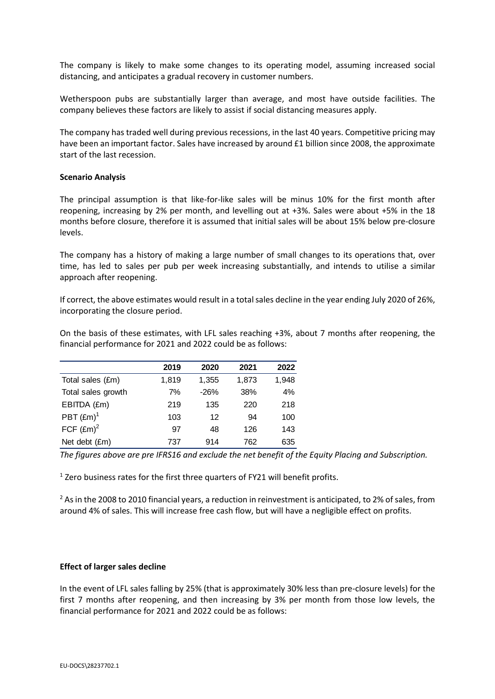The company is likely to make some changes to its operating model, assuming increased social distancing, and anticipates a gradual recovery in customer numbers.

Wetherspoon pubs are substantially larger than average, and most have outside facilities. The company believes these factors are likely to assist if social distancing measures apply.

The company has traded well during previous recessions, in the last 40 years. Competitive pricing may have been an important factor. Sales have increased by around £1 billion since 2008, the approximate start of the last recession.

### **Scenario Analysis**

The principal assumption is that like-for-like sales will be minus 10% for the first month after reopening, increasing by 2% per month, and levelling out at +3%. Sales were about +5% in the 18 months before closure, therefore it is assumed that initial sales will be about 15% below pre-closure levels.

The company has a history of making a large number of small changes to its operations that, over time, has led to sales per pub per week increasing substantially, and intends to utilise a similar approach after reopening.

If correct, the above estimates would result in a total sales decline in the year ending July 2020 of 26%, incorporating the closure period.

On the basis of these estimates, with LFL sales reaching +3%, about 7 months after reopening, the financial performance for 2021 and 2022 could be as follows:

|                     | 2019  | 2020   | 2021  | 2022  |
|---------------------|-------|--------|-------|-------|
| Total sales (£m)    | 1,819 | 1,355  | 1,873 | 1,948 |
| Total sales growth  | 7%    | $-26%$ | 38%   | 4%    |
| EBITDA (£m)         | 219   | 135    | 220   | 218   |
| PBT $(\text{Em})^1$ | 103   | 12     | 94    | 100   |
| FCF $(\text{Em})^2$ | 97    | 48     | 126   | 143   |
| Net debt (£m)       | 737   | 914    | 762   | 635   |

*The figures above are pre IFRS16 and exclude the net benefit of the Equity Placing and Subscription.*

 $<sup>1</sup>$  Zero business rates for the first three quarters of FY21 will benefit profits.</sup>

 $2$  As in the 2008 to 2010 financial years, a reduction in reinvestment is anticipated, to 2% of sales, from around 4% of sales. This will increase free cash flow, but will have a negligible effect on profits.

## **Effect of larger sales decline**

In the event of LFL sales falling by 25% (that is approximately 30% less than pre-closure levels) for the first 7 months after reopening, and then increasing by 3% per month from those low levels, the financial performance for 2021 and 2022 could be as follows: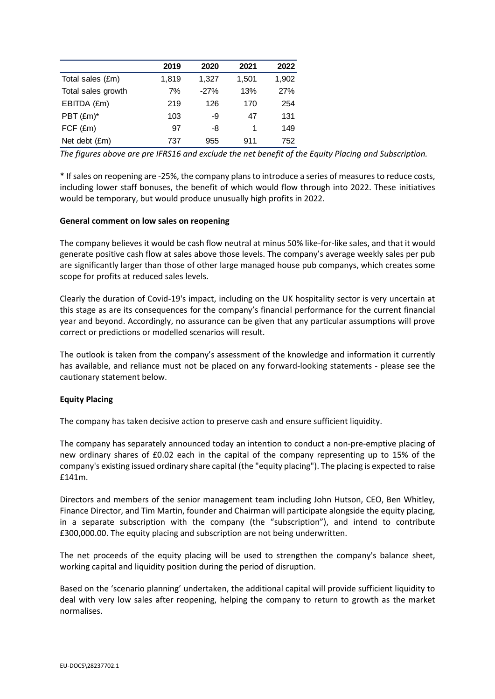|                    | 2019  | 2020   | 2021  | 2022  |
|--------------------|-------|--------|-------|-------|
| Total sales (£m)   | 1.819 | 1,327  | 1,501 | 1,902 |
| Total sales growth | 7%    | $-27%$ | 13%   | 27%   |
| EBITDA (£m)        | 219   | 126    | 170   | 254   |
| PBT (£m)*          | 103   | -9     | 47    | 131   |
| $FCF$ (£m)         | 97    | -8     |       | 149   |
| Net debt (£m)      | 737   | 955    | 911   | 752   |

*The figures above are pre IFRS16 and exclude the net benefit of the Equity Placing and Subscription.*

\* If sales on reopening are -25%, the company plans to introduce a series of measures to reduce costs, including lower staff bonuses, the benefit of which would flow through into 2022. These initiatives would be temporary, but would produce unusually high profits in 2022.

# **General comment on low sales on reopening**

The company believes it would be cash flow neutral at minus 50% like-for-like sales, and that it would generate positive cash flow at sales above those levels. The company's average weekly sales per pub are significantly larger than those of other large managed house pub companys, which creates some scope for profits at reduced sales levels.

Clearly the duration of Covid-19's impact, including on the UK hospitality sector is very uncertain at this stage as are its consequences for the company's financial performance for the current financial year and beyond. Accordingly, no assurance can be given that any particular assumptions will prove correct or predictions or modelled scenarios will result.

The outlook is taken from the company's assessment of the knowledge and information it currently has available, and reliance must not be placed on any forward-looking statements - please see the cautionary statement below.

## **Equity Placing**

The company has taken decisive action to preserve cash and ensure sufficient liquidity.

The company has separately announced today an intention to conduct a non-pre-emptive placing of new ordinary shares of £0.02 each in the capital of the company representing up to 15% of the company's existing issued ordinary share capital (the "equity placing"). The placing is expected to raise £141m.

Directors and members of the senior management team including John Hutson, CEO, Ben Whitley, Finance Director, and Tim Martin, founder and Chairman will participate alongside the equity placing, in a separate subscription with the company (the "subscription"), and intend to contribute £300,000.00. The equity placing and subscription are not being underwritten.

The net proceeds of the equity placing will be used to strengthen the company's balance sheet, working capital and liquidity position during the period of disruption.

Based on the 'scenario planning' undertaken, the additional capital will provide sufficient liquidity to deal with very low sales after reopening, helping the company to return to growth as the market normalises.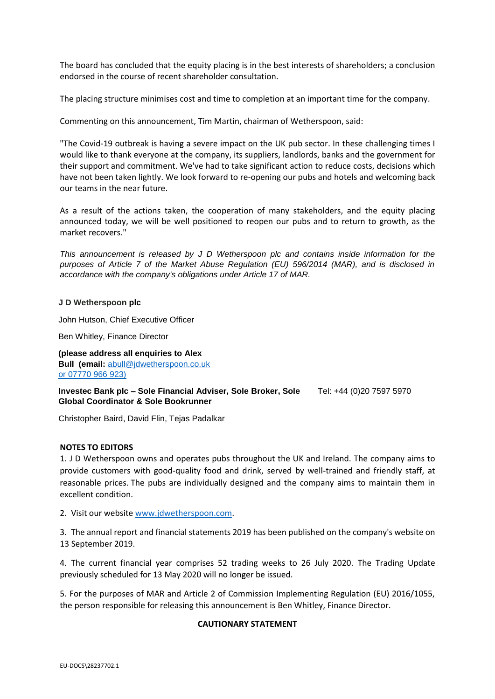The board has concluded that the equity placing is in the best interests of shareholders; a conclusion endorsed in the course of recent shareholder consultation.

The placing structure minimises cost and time to completion at an important time for the company.

Commenting on this announcement, Tim Martin, chairman of Wetherspoon, said:

"The Covid‐19 outbreak is having a severe impact on the UK pub sector. In these challenging times I would like to thank everyone at the company, its suppliers, landlords, banks and the government for their support and commitment. We've had to take significant action to reduce costs, decisions which have not been taken lightly. We look forward to re-opening our pubs and hotels and welcoming back our teams in the near future.

As a result of the actions taken, the cooperation of many stakeholders, and the equity placing announced today, we will be well positioned to reopen our pubs and to return to growth, as the market recovers."

*This announcement is released by J D Wetherspoon plc and contains inside information for the purposes of Article 7 of the Market Abuse Regulation (EU) 596/2014 (MAR), and is disclosed in accordance with the company's obligations under Article 17 of MAR.*

#### **J D Wetherspoon plc**

John Hutson, Chief Executive Officer

Ben Whitley, Finance Director

**(please address all enquiries to Alex Bull (email:** [abull@jdwetherspoon.co.uk](mailto:abull@jdwetherspoon.co.uk) or 07770 966 923)

**Investec Bank plc – Sole Financial Adviser, Sole Broker, Sole Global Coordinator & Sole Bookrunner** Tel: +44 (0)20 7597 5970

Christopher Baird, David Flin, Tejas Padalkar

#### **NOTES TO EDITORS**

1. J D Wetherspoon owns and operates pubs throughout the UK and Ireland. The company aims to provide customers with good-quality food and drink, served by well-trained and friendly staff, at reasonable prices. The pubs are individually designed and the company aims to maintain them in excellent condition.

2. Visit our websit[e www.jdwetherspoon.com.](http://www.jdwetherspoon.com/)

3. The annual report and financial statements 2019 has been published on the company's website on 13 September 2019.

4. The current financial year comprises 52 trading weeks to 26 July 2020. The Trading Update previously scheduled for 13 May 2020 will no longer be issued.

5. For the purposes of MAR and Article 2 of Commission Implementing Regulation (EU) 2016/1055, the person responsible for releasing this announcement is Ben Whitley, Finance Director.

#### **CAUTIONARY STATEMENT**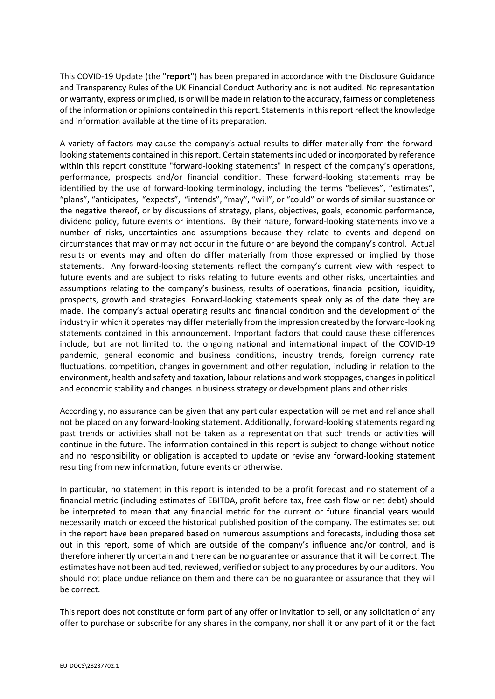This COVID‐19 Update (the "**report**") has been prepared in accordance with the Disclosure Guidance and Transparency Rules of the UK Financial Conduct Authority and is not audited. No representation or warranty, express or implied, is or will be made in relation to the accuracy, fairness or completeness of the information or opinions contained in this report. Statements in this report reflect the knowledge and information available at the time of its preparation.

A variety of factors may cause the company's actual results to differ materially from the forward‐ looking statements contained in this report. Certain statements included or incorporated by reference within this report constitute "forward-looking statements" in respect of the company's operations, performance, prospects and/or financial condition. These forward‐looking statements may be identified by the use of forward‐looking terminology, including the terms "believes", "estimates", "plans", "anticipates, "expects", "intends", "may", "will", or "could" or words of similar substance or the negative thereof, or by discussions of strategy, plans, objectives, goals, economic performance, dividend policy, future events or intentions. By their nature, forward-looking statements involve a number of risks, uncertainties and assumptions because they relate to events and depend on circumstances that may or may not occur in the future or are beyond the company's control. Actual results or events may and often do differ materially from those expressed or implied by those statements. Any forward‐looking statements reflect the company's current view with respect to future events and are subject to risks relating to future events and other risks, uncertainties and assumptions relating to the company's business, results of operations, financial position, liquidity, prospects, growth and strategies. Forward‐looking statements speak only as of the date they are made. The company's actual operating results and financial condition and the development of the industry in which it operates may differ materially from the impression created by the forward‐looking statements contained in this announcement. Important factors that could cause these differences include, but are not limited to, the ongoing national and international impact of the COVID-19 pandemic, general economic and business conditions, industry trends, foreign currency rate fluctuations, competition, changes in government and other regulation, including in relation to the environment, health and safety and taxation, labour relations and work stoppages, changes in political and economic stability and changes in business strategy or development plans and other risks.

Accordingly, no assurance can be given that any particular expectation will be met and reliance shall not be placed on any forward-looking statement. Additionally, forward-looking statements regarding past trends or activities shall not be taken as a representation that such trends or activities will continue in the future. The information contained in this report is subject to change without notice and no responsibility or obligation is accepted to update or revise any forward-looking statement resulting from new information, future events or otherwise.

In particular, no statement in this report is intended to be a profit forecast and no statement of a financial metric (including estimates of EBITDA, profit before tax, free cash flow or net debt) should be interpreted to mean that any financial metric for the current or future financial years would necessarily match or exceed the historical published position of the company. The estimates set out in the report have been prepared based on numerous assumptions and forecasts, including those set out in this report, some of which are outside of the company's influence and/or control, and is therefore inherently uncertain and there can be no guarantee or assurance that it will be correct. The estimates have not been audited, reviewed, verified or subject to any procedures by our auditors. You should not place undue reliance on them and there can be no guarantee or assurance that they will be correct.

This report does not constitute or form part of any offer or invitation to sell, or any solicitation of any offer to purchase or subscribe for any shares in the company, nor shall it or any part of it or the fact